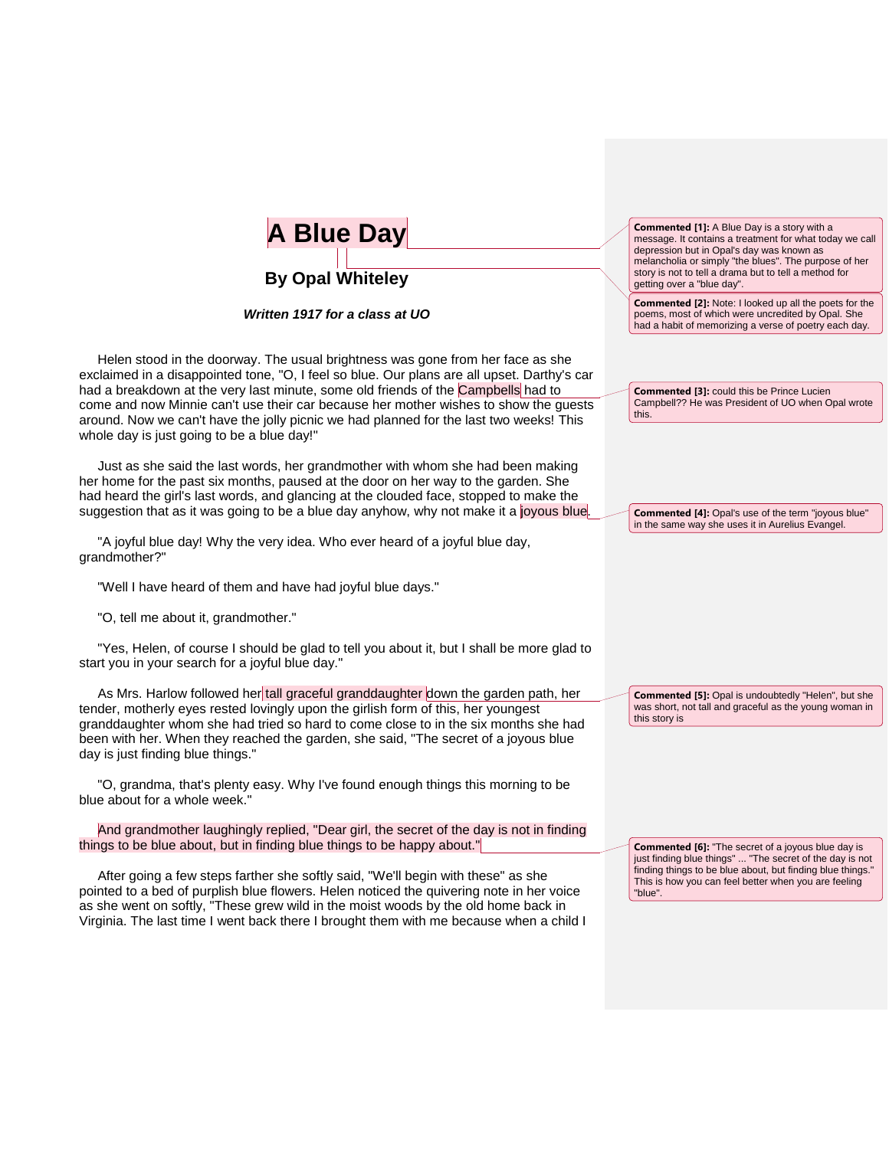| <b>A Blue Day</b>                                                                                                                                                                                                                                                                                                                                                                                                                                                                                  | <b>Commented [1]:</b> A Blue Day is a story with a<br>message. It contains a treatment for what today we call<br>depression but in Opal's day was known as<br>melancholia or simply "the blues". The purpose of her<br>story is not to tell a drama but to tell a method for |
|----------------------------------------------------------------------------------------------------------------------------------------------------------------------------------------------------------------------------------------------------------------------------------------------------------------------------------------------------------------------------------------------------------------------------------------------------------------------------------------------------|------------------------------------------------------------------------------------------------------------------------------------------------------------------------------------------------------------------------------------------------------------------------------|
| <b>By Opal Whiteley</b><br>Written 1917 for a class at UO                                                                                                                                                                                                                                                                                                                                                                                                                                          | getting over a "blue day".<br><b>Commented [2]:</b> Note: I looked up all the poets for the<br>poems, most of which were uncredited by Opal. She<br>had a habit of memorizing a verse of poetry each day.                                                                    |
| Helen stood in the doorway. The usual brightness was gone from her face as she<br>exclaimed in a disappointed tone, "O, I feel so blue. Our plans are all upset. Darthy's car<br>had a breakdown at the very last minute, some old friends of the Campbells had to<br>come and now Minnie can't use their car because her mother wishes to show the guests<br>around. Now we can't have the jolly picnic we had planned for the last two weeks! This<br>whole day is just going to be a blue day!" | <b>Commented [3]: could this be Prince Lucien</b><br>Campbell?? He was President of UO when Opal wrote<br>this.                                                                                                                                                              |
| Just as she said the last words, her grandmother with whom she had been making<br>her home for the past six months, paused at the door on her way to the garden. She<br>had heard the girl's last words, and glancing at the clouded face, stopped to make the<br>suggestion that as it was going to be a blue day anyhow, why not make it a joyous blue.<br>"A joyful blue day! Why the very idea. Who ever heard of a joyful blue day,<br>grandmother?"                                          | <b>Commented [4]: Opal's use of the term "joyous blue"</b><br>in the same way she uses it in Aurelius Evangel.                                                                                                                                                               |
| "Well I have heard of them and have had joyful blue days."<br>"O, tell me about it, grandmother."                                                                                                                                                                                                                                                                                                                                                                                                  |                                                                                                                                                                                                                                                                              |
| "Yes, Helen, of course I should be glad to tell you about it, but I shall be more glad to<br>start you in your search for a joyful blue day."                                                                                                                                                                                                                                                                                                                                                      |                                                                                                                                                                                                                                                                              |
| As Mrs. Harlow followed her tall graceful granddaughter down the garden path, her<br>tender, motherly eyes rested lovingly upon the girlish form of this, her youngest<br>granddaughter whom she had tried so hard to come close to in the six months she had<br>been with her. When they reached the garden, she said, "The secret of a joyous blue<br>day is just finding blue things."                                                                                                          | <b>Commented [5]: Opal is undoubtedly "Helen", but she</b><br>was short, not tall and graceful as the young woman in<br>this story is                                                                                                                                        |
| "O, grandma, that's plenty easy. Why I've found enough things this morning to be<br>blue about for a whole week."                                                                                                                                                                                                                                                                                                                                                                                  |                                                                                                                                                                                                                                                                              |
| And grandmother laughingly replied, "Dear girl, the secret of the day is not in finding<br>things to be blue about, but in finding blue things to be happy about."                                                                                                                                                                                                                                                                                                                                 | <b>Commented [6]:</b> "The secret of a joyous blue day is<br>just finding blue things"  "The secret of the day is not<br>the contraction of the                                                                                                                              |

 After going a few steps farther she softly said, "We'll begin with these" as she pointed to a bed of purplish blue flowers. Helen noticed the quivering note in her voice as she went on softly, "These grew wild in the moist woods by the old home back in Virginia. The last time I went back there I brought them with me because when a child I

finding things to be blue about, but finding blue things." This is how you can feel better when you are feeling "blue".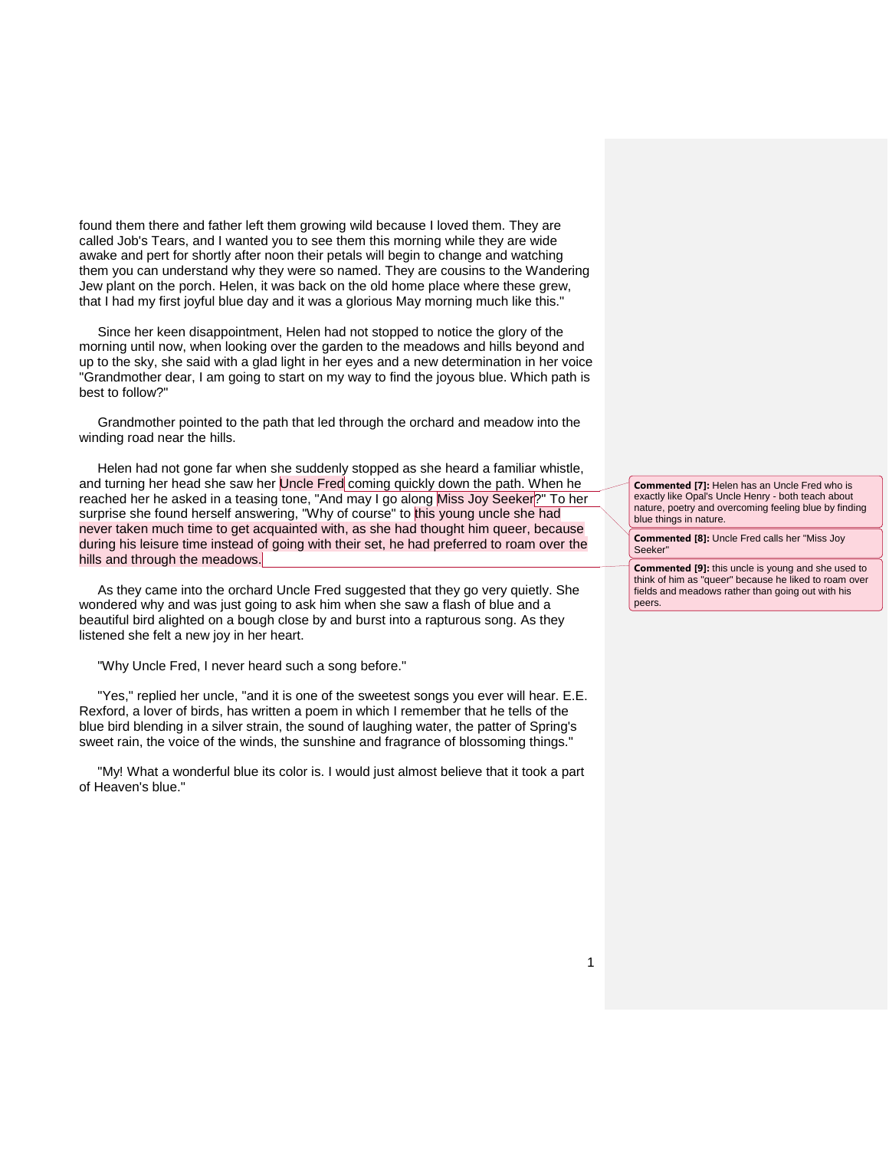found them there and father left them growing wild because I loved them. They are called Job's Tears, and I wanted you to see them this morning while they are wide awake and pert for shortly after noon their petals will begin to change and watching them you can understand why they were so named. They are cousins to the Wandering Jew plant on the porch. Helen, it was back on the old home place where these grew, that I had my first joyful blue day and it was a glorious May morning much like this."

 Since her keen disappointment, Helen had not stopped to notice the glory of the morning until now, when looking over the garden to the meadows and hills beyond and up to the sky, she said with a glad light in her eyes and a new determination in her voice "Grandmother dear, I am going to start on my way to find the joyous blue. Which path is best to follow?"

 Grandmother pointed to the path that led through the orchard and meadow into the winding road near the hills.

 Helen had not gone far when she suddenly stopped as she heard a familiar whistle, and turning her head she saw her Uncle Fred coming quickly down the path. When he reached her he asked in a teasing tone, "And may I go along Miss Joy Seeker?" To her surprise she found herself answering, "Why of course" to this young uncle she had never taken much time to get acquainted with, as she had thought him queer, because during his leisure time instead of going with their set, he had preferred to roam over the hills and through the meadows.

 As they came into the orchard Uncle Fred suggested that they go very quietly. She wondered why and was just going to ask him when she saw a flash of blue and a beautiful bird alighted on a bough close by and burst into a rapturous song. As they listened she felt a new joy in her heart.

"Why Uncle Fred, I never heard such a song before."

 "Yes," replied her uncle, "and it is one of the sweetest songs you ever will hear. E.E. Rexford, a lover of birds, has written a poem in which I remember that he tells of the blue bird blending in a silver strain, the sound of laughing water, the patter of Spring's sweet rain, the voice of the winds, the sunshine and fragrance of blossoming things."

 "My! What a wonderful blue its color is. I would just almost believe that it took a part of Heaven's blue."

**Commented [7]:** Helen has an Uncle Fred who is exactly like Opal's Uncle Henry - both teach about nature, poetry and overcoming feeling blue by finding blue things in nature.

**Commented [8]:** Uncle Fred calls her "Miss Joy Seeker"

**Commented [9]:** this uncle is young and she used to think of him as "queer" because he liked to roam over fields and meadows rather than going out with his peers.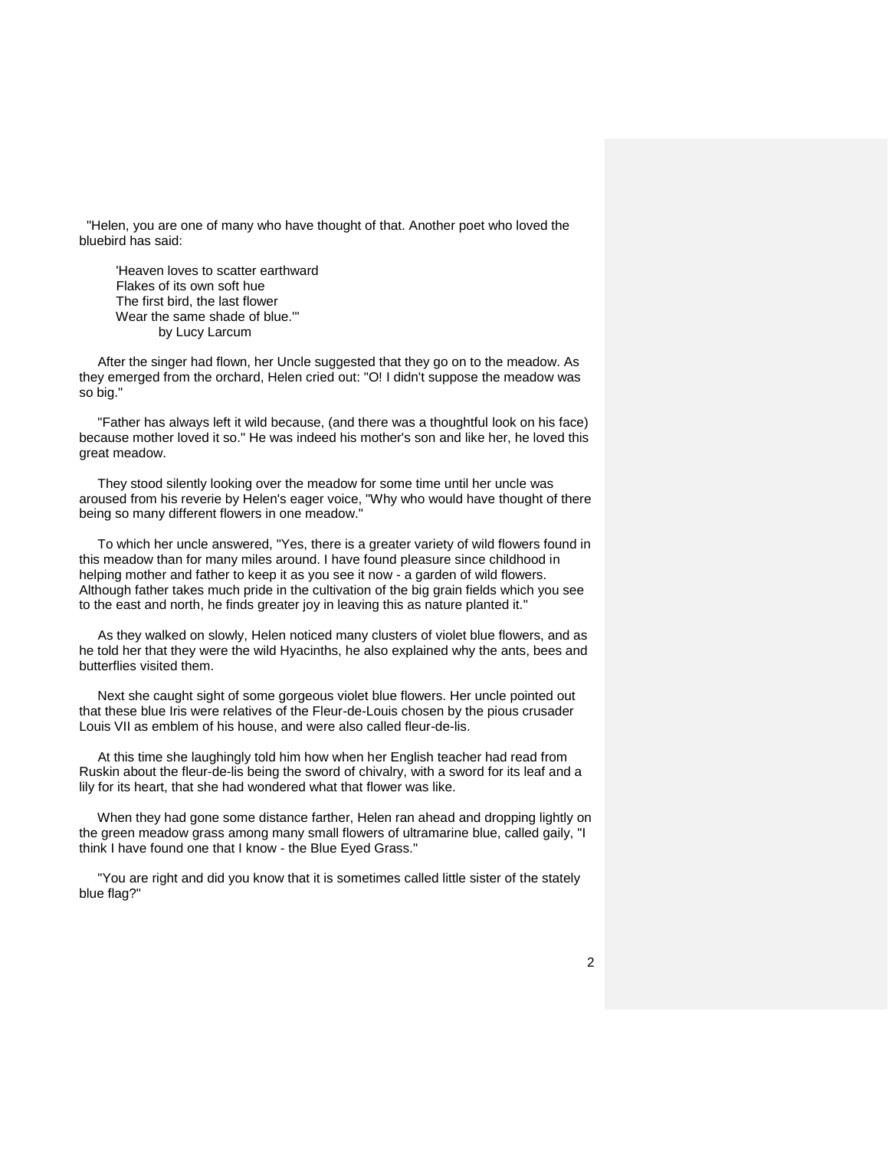"Helen, you are one of many who have thought of that. Another poet who loved the bluebird has said:

 'Heaven loves to scatter earthward Flakes of its own soft hue The first bird, the last flower Wear the same shade of blue.'" by Lucy Larcum

 After the singer had flown, her Uncle suggested that they go on to the meadow. As they emerged from the orchard, Helen cried out: "O! I didn't suppose the meadow was so big."

 "Father has always left it wild because, (and there was a thoughtful look on his face) because mother loved it so." He was indeed his mother's son and like her, he loved this great meadow.

 They stood silently looking over the meadow for some time until her uncle was aroused from his reverie by Helen's eager voice, "Why who would have thought of there being so many different flowers in one meadow."

 To which her uncle answered, "Yes, there is a greater variety of wild flowers found in this meadow than for many miles around. I have found pleasure since childhood in helping mother and father to keep it as you see it now - a garden of wild flowers. Although father takes much pride in the cultivation of the big grain fields which you see to the east and north, he finds greater joy in leaving this as nature planted it."

 As they walked on slowly, Helen noticed many clusters of violet blue flowers, and as he told her that they were the wild Hyacinths, he also explained why the ants, bees and butterflies visited them.

 Next she caught sight of some gorgeous violet blue flowers. Her uncle pointed out that these blue Iris were relatives of the Fleur-de-Louis chosen by the pious crusader Louis VII as emblem of his house, and were also called fleur-de-lis.

 At this time she laughingly told him how when her English teacher had read from Ruskin about the fleur-de-lis being the sword of chivalry, with a sword for its leaf and a lily for its heart, that she had wondered what that flower was like.

 When they had gone some distance farther, Helen ran ahead and dropping lightly on the green meadow grass among many small flowers of ultramarine blue, called gaily, "I think I have found one that I know - the Blue Eyed Grass."

 "You are right and did you know that it is sometimes called little sister of the stately blue flag?"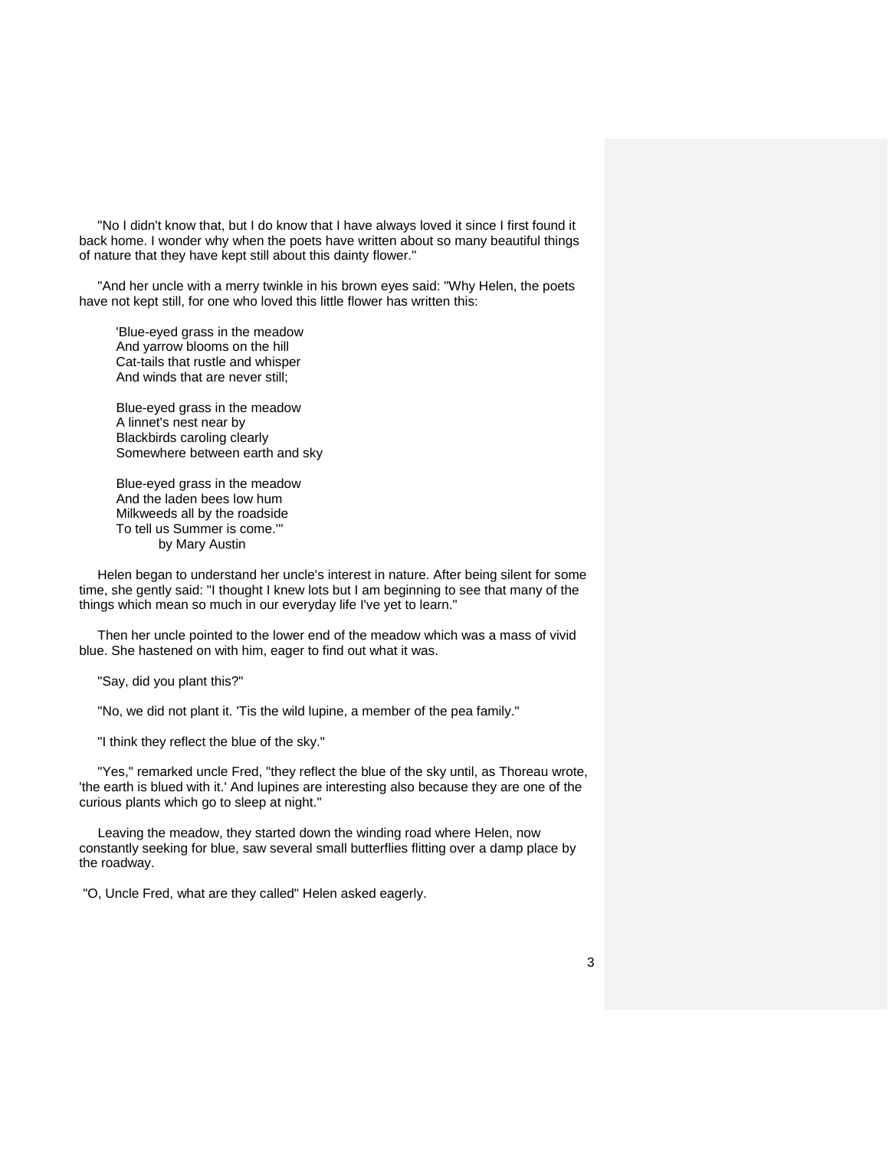"No I didn't know that, but I do know that I have always loved it since I first found it back home. I wonder why when the poets have written about so many beautiful things of nature that they have kept still about this dainty flower."

 "And her uncle with a merry twinkle in his brown eyes said: "Why Helen, the poets have not kept still, for one who loved this little flower has written this:

 'Blue-eyed grass in the meadow And yarrow blooms on the hill Cat-tails that rustle and whisper And winds that are never still;

 Blue-eyed grass in the meadow A linnet's nest near by Blackbirds caroling clearly Somewhere between earth and sky

 Blue-eyed grass in the meadow And the laden bees low hum Milkweeds all by the roadside To tell us Summer is come.'" by Mary Austin

 Helen began to understand her uncle's interest in nature. After being silent for some time, she gently said: "I thought I knew lots but I am beginning to see that many of the things which mean so much in our everyday life I've yet to learn."

 Then her uncle pointed to the lower end of the meadow which was a mass of vivid blue. She hastened on with him, eager to find out what it was.

"Say, did you plant this?"

"No, we did not plant it. 'Tis the wild lupine, a member of the pea family."

"I think they reflect the blue of the sky."

 "Yes," remarked uncle Fred, "they reflect the blue of the sky until, as Thoreau wrote, 'the earth is blued with it.' And lupines are interesting also because they are one of the curious plants which go to sleep at night."

 Leaving the meadow, they started down the winding road where Helen, now constantly seeking for blue, saw several small butterflies flitting over a damp place by the roadway.

"O, Uncle Fred, what are they called" Helen asked eagerly.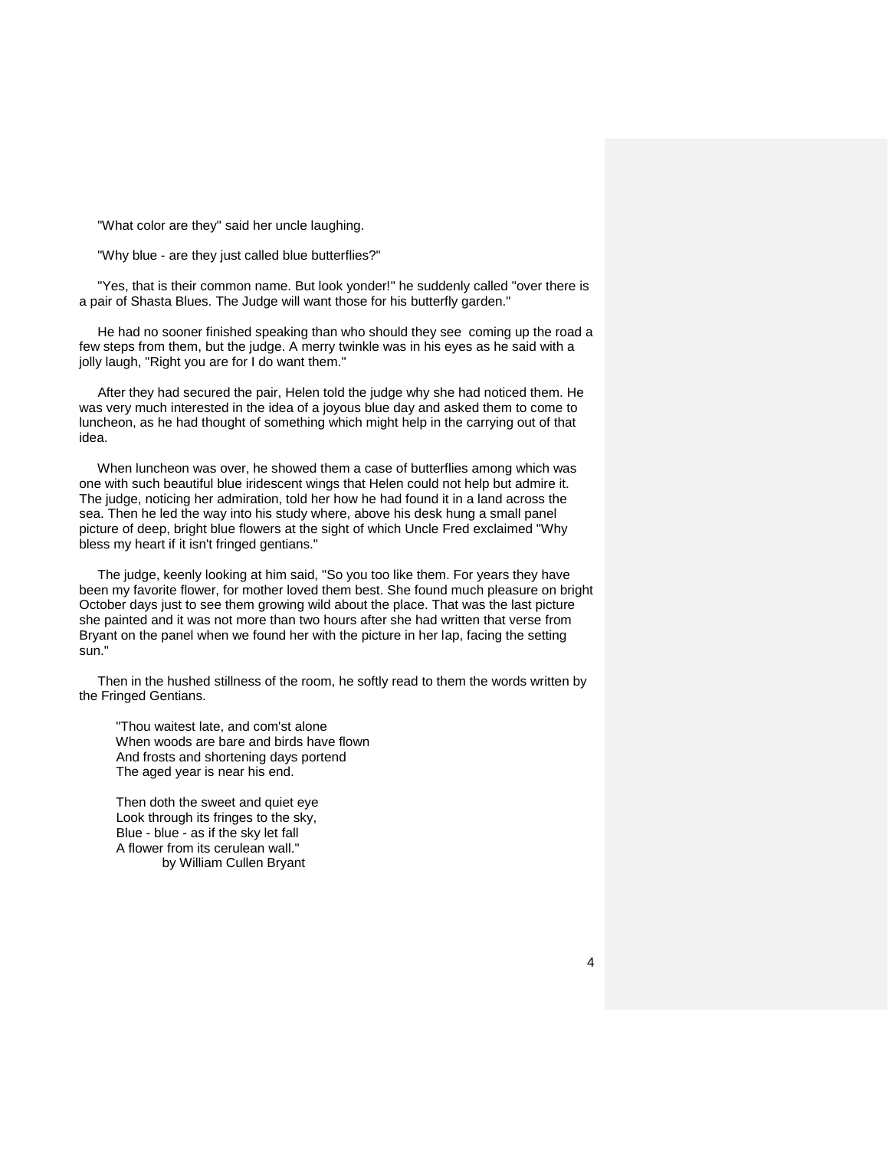"What color are they" said her uncle laughing.

"Why blue - are they just called blue butterflies?"

 "Yes, that is their common name. But look yonder!" he suddenly called "over there is a pair of Shasta Blues. The Judge will want those for his butterfly garden."

 He had no sooner finished speaking than who should they see coming up the road a few steps from them, but the judge. A merry twinkle was in his eyes as he said with a jolly laugh, "Right you are for I do want them."

 After they had secured the pair, Helen told the judge why she had noticed them. He was very much interested in the idea of a joyous blue day and asked them to come to luncheon, as he had thought of something which might help in the carrying out of that idea.

 When luncheon was over, he showed them a case of butterflies among which was one with such beautiful blue iridescent wings that Helen could not help but admire it. The judge, noticing her admiration, told her how he had found it in a land across the sea. Then he led the way into his study where, above his desk hung a small panel picture of deep, bright blue flowers at the sight of which Uncle Fred exclaimed "Why bless my heart if it isn't fringed gentians."

 The judge, keenly looking at him said, "So you too like them. For years they have been my favorite flower, for mother loved them best. She found much pleasure on bright October days just to see them growing wild about the place. That was the last picture she painted and it was not more than two hours after she had written that verse from Bryant on the panel when we found her with the picture in her lap, facing the setting sun."

 Then in the hushed stillness of the room, he softly read to them the words written by the Fringed Gentians.

 "Thou waitest late, and com'st alone When woods are bare and birds have flown And frosts and shortening days portend The aged year is near his end.

 Then doth the sweet and quiet eye Look through its fringes to the sky, Blue - blue - as if the sky let fall A flower from its cerulean wall." by William Cullen Bryant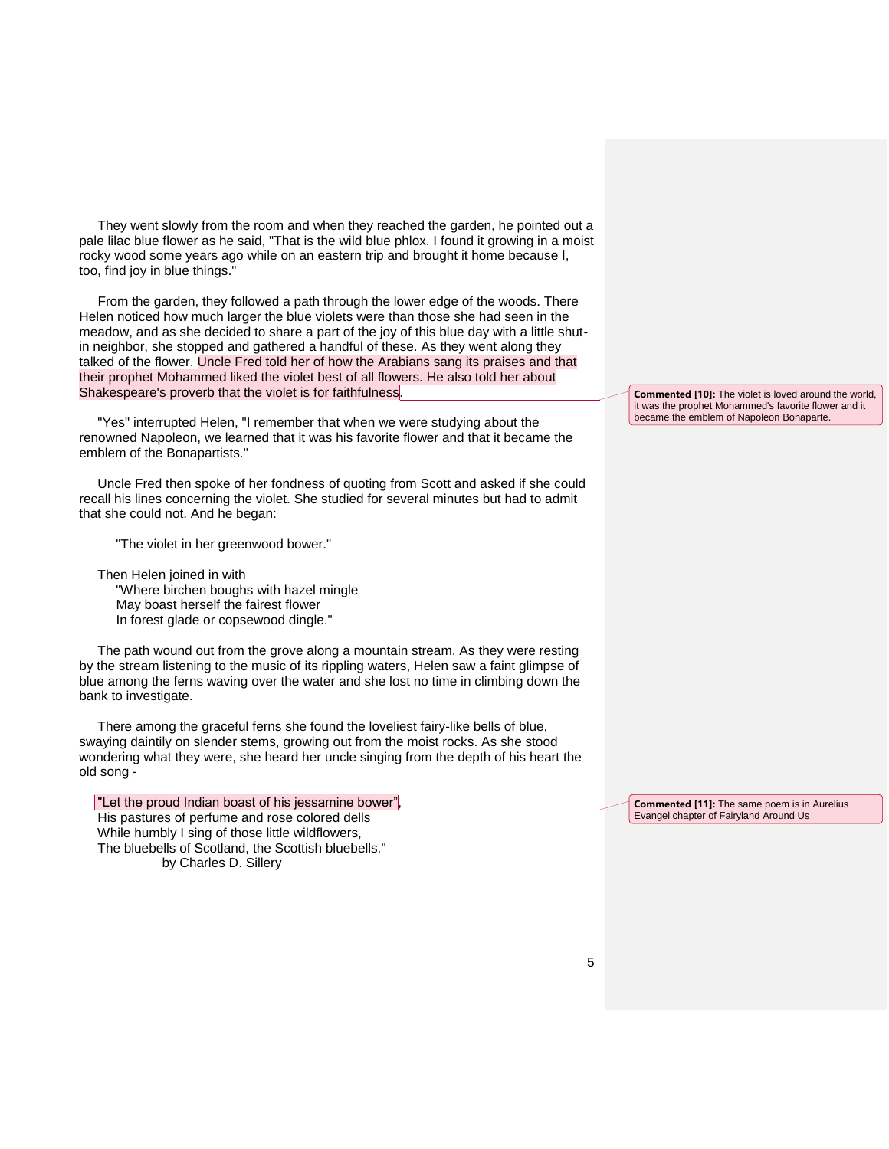They went slowly from the room and when they reached the garden, he pointed out a pale lilac blue flower as he said, "That is the wild blue phlox. I found it growing in a moist rocky wood some years ago while on an eastern trip and brought it home because I, too, find joy in blue things."

 From the garden, they followed a path through the lower edge of the woods. There Helen noticed how much larger the blue violets were than those she had seen in the meadow, and as she decided to share a part of the joy of this blue day with a little shutin neighbor, she stopped and gathered a handful of these. As they went along they talked of the flower. Uncle Fred told her of how the Arabians sang its praises and that their prophet Mohammed liked the violet best of all flowers. He also told her about Shakespeare's proverb that the violet is for faithfulness.

 "Yes" interrupted Helen, "I remember that when we were studying about the renowned Napoleon, we learned that it was his favorite flower and that it became the emblem of the Bonapartists."

 Uncle Fred then spoke of her fondness of quoting from Scott and asked if she could recall his lines concerning the violet. She studied for several minutes but had to admit that she could not. And he began:

"The violet in her greenwood bower."

 Then Helen joined in with "Where birchen boughs with hazel mingle May boast herself the fairest flower In forest glade or copsewood dingle."

 The path wound out from the grove along a mountain stream. As they were resting by the stream listening to the music of its rippling waters, Helen saw a faint glimpse of blue among the ferns waving over the water and she lost no time in climbing down the bank to investigate.

 There among the graceful ferns she found the loveliest fairy-like bells of blue, swaying daintily on slender stems, growing out from the moist rocks. As she stood wondering what they were, she heard her uncle singing from the depth of his heart the old song -

| "Let the proud Indian boast of his jessamine bower", |
|------------------------------------------------------|
| His pastures of perfume and rose colored dells       |
| While humbly I sing of those little wildflowers,     |
| The bluebells of Scotland, the Scottish bluebells."  |
| by Charles D. Sillery                                |
|                                                      |

**Commented [10]:** The violet is loved around the world, it was the prophet Mohammed's favorite flower and it became the emblem of Napoleon Bonaparte.

**Commented [11]:** The same poem is in Aurelius Evangel chapter of Fairyland Around Us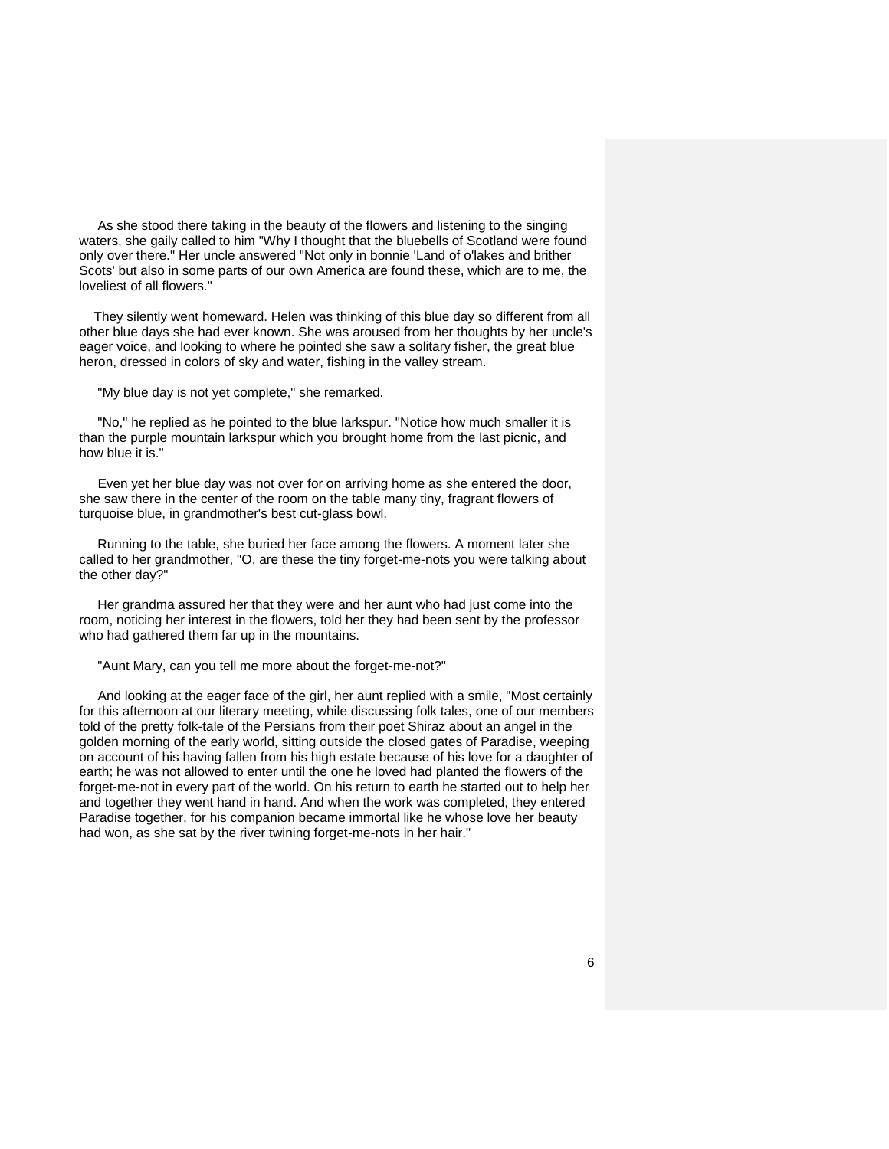As she stood there taking in the beauty of the flowers and listening to the singing waters, she gaily called to him "Why I thought that the bluebells of Scotland were found only over there." Her uncle answered "Not only in bonnie 'Land of o'lakes and brither Scots' but also in some parts of our own America are found these, which are to me, the loveliest of all flowers."

 They silently went homeward. Helen was thinking of this blue day so different from all other blue days she had ever known. She was aroused from her thoughts by her uncle's eager voice, and looking to where he pointed she saw a solitary fisher, the great blue heron, dressed in colors of sky and water, fishing in the valley stream.

"My blue day is not yet complete," she remarked.

 "No," he replied as he pointed to the blue larkspur. "Notice how much smaller it is than the purple mountain larkspur which you brought home from the last picnic, and how blue it is."

 Even yet her blue day was not over for on arriving home as she entered the door, she saw there in the center of the room on the table many tiny, fragrant flowers of turquoise blue, in grandmother's best cut-glass bowl.

 Running to the table, she buried her face among the flowers. A moment later she called to her grandmother, "O, are these the tiny forget-me-nots you were talking about the other day?"

 Her grandma assured her that they were and her aunt who had just come into the room, noticing her interest in the flowers, told her they had been sent by the professor who had gathered them far up in the mountains.

"Aunt Mary, can you tell me more about the forget-me-not?"

 And looking at the eager face of the girl, her aunt replied with a smile, "Most certainly for this afternoon at our literary meeting, while discussing folk tales, one of our members told of the pretty folk-tale of the Persians from their poet Shiraz about an angel in the golden morning of the early world, sitting outside the closed gates of Paradise, weeping on account of his having fallen from his high estate because of his love for a daughter of earth; he was not allowed to enter until the one he loved had planted the flowers of the forget-me-not in every part of the world. On his return to earth he started out to help her and together they went hand in hand. And when the work was completed, they entered Paradise together, for his companion became immortal like he whose love her beauty had won, as she sat by the river twining forget-me-nots in her hair."